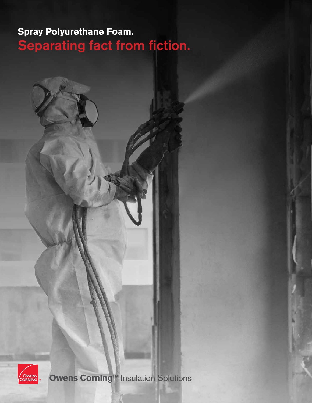#### Separating fact from fiction. **Spray Polyurethane Foam.**



**Owens Corning™** Insulation Solutions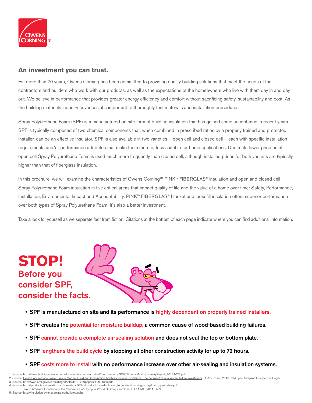

#### **An investment you can trust.**

For more than 70 years, Owens Corning has been committed to providing quality building solutions that meet the needs of the contractors and builders who work with our products, as well as the expectations of the homeowners who live with them day in and day out. We believe in performance that provides greater energy efficiency and comfort without sacrificing safety, sustainability and cost. As the building materials industry advances, it's important to thoroughly test materials and installation procedures.

Spray Polyurethane Foam (SPF) is a manufactured-on-site form of building insulation that has gained some acceptance in recent years. SPF is typically composed of two chemical components that, when combined in prescribed ratios by a properly trained and protected installer, can be an effective insulator. SPF is also available in two varieties — open cell and closed cell — each with specific installation requirements and/or performance attributes that make them more or less suitable for home applications. Due to its lower price point, open cell Spray Polyurethane Foam is used much more frequently than closed cell, although installed prices for both variants are typically higher than that of fiberglass insulation.

In this brochure, we will examine the characteristics of Owens Corning™ PINK™FIBERGLAS® insulation and open and closed cell Spray Polyurethane Foam insulation in five critical areas that impact quality of life and the value of a home over time: Safety, Performance, Installation, Environmental Impact and Accountability. PINK™FIBERGLAS® blanket and loosefill insulation offers superior performance over both types of Spray Polyurethane Foam. It's also a better investment.

Take a look for yourself as we separate fact from fiction. Citations at the bottom of each page indicate where you can find additional information.



- SPF is manufactured on site and its performance is highly dependent on properly trained installers.
- SPF creates the potential for moisture buildup, a common cause of wood-based building failures.
- SPF cannot provide a complete air-sealing solution and does not seal the top or bottom plate.
- SPF lengthens the build cycle by stopping all other construction activity for up to 72 hours.
- SPF costs more to install with no performance increase over other air-sealing and insulation systems.

<sup>1.</sup> Source: http://www.buildingscience.com/documents/special/content/thermal-metric/BSCThermalMetricSummaryReport\_20131021.pdf

<sup>2.</sup> Source: <u>Spray Polyurethane Foam Uses in Modern Building Construction Applications and Limitations: The perspective of a system failure investigator. *Build Boston,* 2010. Ned Lyon, Simpson Gumpertz & Heger<br>3. Source: h</u>

<sup>4.</sup> Source: http://products.royomartin.com/sites/default/files/productdocs/disclaimer\_for\_undersheathing\_spray-foam\_application.pdf

*Wood Moisture Content and the Importance of Drying in Wood Building Structures* (TT-111A). (2011). APA.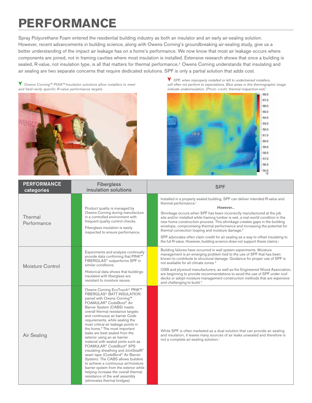## **PERFORMANCE**

Spray Polyurethane Foam entered the residential building industry as both an insulator and an early air-sealing solution. However, recent advancements in building science, along with Owens Corning's groundbreaking air-sealing study, give us a better understanding of the impact air leakage has on a home's performance. We now know that most air leakage occurs where components are joined, not in framing cavities where most insulation is installed. Extensive research shows that once a building is sealed, R-value, not insulation type, is all that matters for thermal performance.1 Owens Corning understands that insulating and air sealing are two separate concerns that require dedicated solutions. SPF is only a partial solution that adds cost.

 *Owens Corning™ PINK™ Insulation solutions allow installers to meet and field-verify specific R-value performance targets.*



 *SPF, when improperly installed or left to undertrained installers, will often not perform to expectations. Blue areas in this thermographic image indicate underinsulation. [Photo credit:* thermal-inspection.net*]*



| <b>PERFORMANCE</b><br>categories | <b>Fiberglass</b><br>insulation solutions                                                                                                                                                                                                                                                                                                                                                                                                                                                                                                                                                                                                                                                                                                                                                                                                                           | <b>SPF</b>                                                                                                                                                                                                                                                                                                                                                                                                                                                                                                                                                                                                                                                                                  |
|----------------------------------|---------------------------------------------------------------------------------------------------------------------------------------------------------------------------------------------------------------------------------------------------------------------------------------------------------------------------------------------------------------------------------------------------------------------------------------------------------------------------------------------------------------------------------------------------------------------------------------------------------------------------------------------------------------------------------------------------------------------------------------------------------------------------------------------------------------------------------------------------------------------|---------------------------------------------------------------------------------------------------------------------------------------------------------------------------------------------------------------------------------------------------------------------------------------------------------------------------------------------------------------------------------------------------------------------------------------------------------------------------------------------------------------------------------------------------------------------------------------------------------------------------------------------------------------------------------------------|
| Thermal<br>Performance           | Product quality is managed by<br>Owens Corning during manufacture<br>in a controlled environment with<br>frequent quality control checks.<br>Fiberglass insulation is easily<br>inspected to ensure performance.                                                                                                                                                                                                                                                                                                                                                                                                                                                                                                                                                                                                                                                    | Installed in a properly sealed building, SPF can deliver intended R-value and<br>thermal performance. <sup>1</sup><br>However<br>Shrinkage occurs when SPF has been incorrectly manufactured at the job<br>site and/or installed while framing lumber is wet, a real-world condition in the<br>new home construction process. This shrinkage creates gaps in the building<br>envelope, compromising thermal performance and increasing the potential for<br>thermal convection looping and moisture damage. <sup>2</sup><br>SPF advocates often claim credit for air sealing as a way to offset insulating to<br>the full R-value. However, building science does not support these claims. |
| Moisture Control                 | Experiments and analysis continually<br>provide data confirming that PINK™<br>FIBERGLAS <sup>®</sup> outperforms SPF in<br>similar conditions.<br>Historical data shows that buildings<br>insulated with fiberglass are<br>resistant to moisture issues.                                                                                                                                                                                                                                                                                                                                                                                                                                                                                                                                                                                                            | Building failures have occurred in wall system experiments. Moisture<br>management is an emerging problem tied to the use of SPF that has been<br>known to contribute to structural damage. Guidance for proper use of SPF is<br>not available for all climate zones. <sup>3</sup><br>OSB and plywood manufacturers, as well as the Engineered Wood Association,<br>are beginning to provide recommendations to avoid the use of SPF under roof<br>decks or adopt moisture management construction methods that are expensive                                                                                                                                                               |
| Air Sealing                      | Owens Corning EcoTouch <sup>®</sup> PINK™<br>FIBERGLAS® BATT INSULATION<br>paired with Owens Corning™<br>FOAMULAR <sup>®</sup> CodeBord <sup>®</sup> Air<br>Barrier System (CABS) meets<br>overall thermal resistance targets<br>and continuous air barrier Code<br>requirements, while sealing the<br>most critical air leakage points in<br>the home. <sup>5</sup> The most important<br>leaks are best sealed from the<br>exterior using an air barrier<br>material with sealed joints such as<br>FOAMULAR <sup>®</sup> CodeBord <sup>®</sup> XPS<br>insulating sheathing and JointSealR"<br>seam tape (CodeBord® Air Barrier<br>System). The CABS allows builders<br>to achieve a continuous air/moisture<br>barrier system from the exterior while<br>helping increase the overall thermal<br>resistance of the wall assembly<br>(eliminates thermal bridges). | and challenging to build. <sup>4</sup><br>While SPF is often marketed as a dual solution that can provide air sealing<br>and insulation, it leaves many sources of air leaks unsealed and therefore is<br>not a complete air-sealing solution. <sup>1</sup>                                                                                                                                                                                                                                                                                                                                                                                                                                 |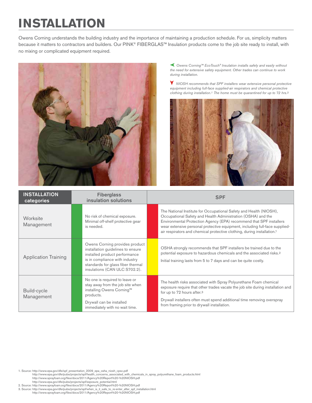## **INSTALLATION**

Owens Corning understands the building industry and the importance of maintaining a production schedule. For us, simplicity matters because it matters to contractors and builders. Our PINK® FIBERGLAS™ Insulation products come to the job site ready to install, with no mixing or complicated equipment required.



 *Owens Corning™ EcoTouch® Insulation installs safely and easily without the need for extensive safety equipment. Other trades can continue to work during installation.*

 *NIOSH recommends that SPF installers wear extensive personal protective equipment including full-face supplied-air respirators and chemical protective clothing during installation.1 The home must be quarantined for up to 72 hrs.3*



| <b>INSTALLATION</b><br>categories | <b>Fiberglass</b><br>insulation solutions                                                                                                                                                                    | <b>SPF</b>                                                                                                                                                                                                                                                                                                                                                                      |  |
|-----------------------------------|--------------------------------------------------------------------------------------------------------------------------------------------------------------------------------------------------------------|---------------------------------------------------------------------------------------------------------------------------------------------------------------------------------------------------------------------------------------------------------------------------------------------------------------------------------------------------------------------------------|--|
| Worksite<br>Management            | No risk of chemical exposure.<br>Minimal off-shelf protective gear<br>is needed.                                                                                                                             | The National Institute for Occupational Safety and Health (NIOSH),<br>Occupational Safety and Health Administration (OSHA) and the<br>Environmental Protection Agency (EPA) recommend that SPF installers<br>wear extensive personal protective equipment, including full-face supplied-<br>air respirators and chemical protective clothing, during installation. <sup>1</sup> |  |
| <b>Application Training</b>       | Owens Corning provides product<br>installation guidelines to ensure<br>installed product performance<br>is in compliance with industry<br>standards for glass fiber thermal<br>insulations (CAN ULC S702.2). | OSHA strongly recommends that SPF installers be trained due to the<br>potential exposure to hazardous chemicals and the associated risks. <sup>2</sup><br>Initial training lasts from 5 to 7 days and can be quite costly.                                                                                                                                                      |  |
| Build-cycle<br>Management         | No one is required to leave or<br>stay away from the job site when<br>installing Owens Corning™<br>products.<br>Drywall can be installed<br>immediately with no wait time.                                   | The health risks associated with Spray Polyurethane Foam chemical<br>exposure require that other trades vacate the job site during installation and<br>for up to 72 hours after. <sup>3</sup><br>Drywall installers often must spend additional time removing overspray<br>from framing prior to drywall installation.                                                          |  |

1. Source: http://www.epa.gov/dfe/spf\_presentation\_2009\_epa\_osha\_niosh\_cpsc.pdf

http://www.epa.gov/dfe/pubs/projects/spf/health\_concerns\_associated\_with\_chemicals\_in\_spray\_polyurethane\_foam\_products.html http://www.sprayfoam.org/files/docs/2011/Agency%20Report%20-%20NIOSH.pdf http://www.epa.gov/dfe/pubs/projects/spf/exposure\_potential.html

2. Source: http://www.sprayfoam.org/files/docs/2011/Agency%20Report%20-%20NIOSH.pdf

3. Source: http://www.epa.gov/dfe/pubs/projects/spf/when\_is\_it\_safe\_to\_re-enter\_after\_spf\_installation.html http://www.sprayfoam.org/files/docs/2011/Agency%20Report%20-%20NIOSH.pdf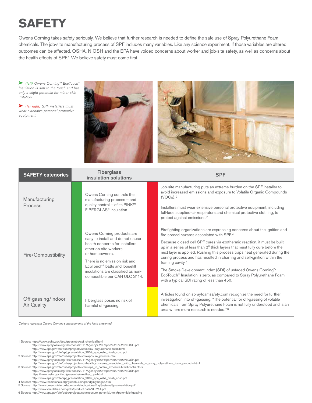## **SAFETY**

Owens Corning takes safety seriously. We believe that further research is needed to define the safe use of Spray Polyurethane Foam chemicals. The job-site manufacturing process of SPF includes many variables. Like any science experiment, if those variables are altered, outcomes can be affected. OSHA, NIOSH and the EPA have voiced concerns about worker and job-site safety, as well as concerns about the health effects of SPF.1 We believe safety must come first.

 *(left) Owens Corning™ EcoTouch® Insulation is soft to the touch and has only a slight potential for minor skin irritation.*

 *(far right) SPF installers must wear extensive personal protective equipment.*



| <b>SAFETY categories</b>          | <b>Fiberglass</b><br>insulation solutions                                                                                                                                                                                                                                                         | <b>SPF</b>                                                                                                                                                                                                                                                                                                                                                                                                                                                                                                                                                                                                                                                                    |  |
|-----------------------------------|---------------------------------------------------------------------------------------------------------------------------------------------------------------------------------------------------------------------------------------------------------------------------------------------------|-------------------------------------------------------------------------------------------------------------------------------------------------------------------------------------------------------------------------------------------------------------------------------------------------------------------------------------------------------------------------------------------------------------------------------------------------------------------------------------------------------------------------------------------------------------------------------------------------------------------------------------------------------------------------------|--|
| Manufacturing<br>Process          | Owens Corning controls the<br>manufacturing process - and<br>quality control - of its PINK™<br>FIBERGLAS <sup>®</sup> insulation.                                                                                                                                                                 | Job-site manufacturing puts an extreme burden on the SPF installer to<br>avoid increased emissions and exposure to Volatile Organic Compounds<br>(VOCs).2<br>Installers must wear extensive personal protective equipment, including<br>full-face supplied-air respirators and chemical protective clothing, to<br>protect against emissions. <sup>3</sup>                                                                                                                                                                                                                                                                                                                    |  |
| Fire/Combustibility               | Owens Corning products are<br>easy to install and do not cause<br>health concerns for installers,<br>other on-site workers<br>or homeowners.<br>There is no emission risk and<br>EcoTouch <sup>®</sup> batts and loosefill<br>insulations are classified as non-<br>combustible per CAN ULC S114. | Firefighting organizations are expressing concerns about the ignition and<br>fire-spread hazards associated with SPF.4<br>Because closed cell SPF cures via exothermic reaction, it must be built<br>up in a series of less than 2" thick layers that must fully cure before the<br>next layer is applied. Rushing this process traps heat generated during the<br>curing process and has resulted in charring and self-ignition within the<br>framing cavity. <sup>5</sup><br>The Smoke Development Index (SDI) of unfaced Owens Corning™<br>EcoTouch <sup>®</sup> Insulation is zero, as compared to Spray Polyurethane Foam<br>with a typical SDI rating of less than 450. |  |
| Off-gassing/Indoor<br>Air Quality | Fiberglass poses no risk of<br>harmful off-gassing.                                                                                                                                                                                                                                               | Articles found on sprayfoamsafety.com recognize the need for further<br>investigation into off-gassing. "The potential for off-gassing of volatile<br>chemicals from Spray Polyurethane Foam is not fully understood and is an<br>area where more research is needed." <sup>6</sup>                                                                                                                                                                                                                                                                                                                                                                                           |  |

*Colours represent Owens Corning's assessments of the facts presented.*

1 Source: https://www.osha.gov/dep/greenjobs/spf\_chemical.html http://www.sprayfoam.org/files/docs/2011/Agency%20Report%20-%20NIOSH.pdf http://www.epa.gov/dfe/pubs/projects/spf/spray\_polyurethane\_foam.html http://www.epa.gov/dfe/spf\_presentation\_2009\_epa\_osha\_niosh\_cpsc.pdf 2 Source: http://www.epa.gov/dfe/pubs/projects/spf/exposure\_potential.html http://www.sprayfoam.org/files/docs/2011/Agency%20Report%20-%20NIOSH.pdf http://www.epa.gov/dfe/pubs/projects/spf/health\_concerns\_associated\_with\_chemicals\_in\_spray\_polyurethane\_foam\_products.html<br>3 Source: http://www.epa.gov/dfe/pubs/projects/spf/steps\_to\_control\_exposure.html#contractors<br>http https://www.osha.gov/dep/greenjobs/weather\_ppe.html http://www.epa.gov/dfe/spf\_presentation\_2009\_epa\_osha\_niosh\_cpsc.pdf 4 Source: http://www.firemarshals.org/greenbuilding/bridgingthegap.html

- 
- 5 Source: http://www.greenbuildercollege.com/studyguides/BaySystemsSprayInsulation.pdf
- http://www.volatilefree.com/pdfs/product-data/VFI-714.pdf

6 Source: http://www.epa.gov/dfe/pubs/projects/spf/exposure\_potential.html#potentialoffgassing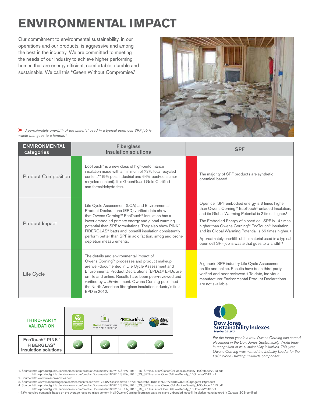# **ENVIRONMENTAL IMPACT**

Our commitment to environmental sustainability, in our operations and our products, is aggressive and among the best in the industry. We are committed to meeting the needs of our industry to achieve higher performing homes that are energy efficient, comfortable, durable and sustainable. We call this "Green Without Compromise."



 *Approximately one-fifth of the material used in a typical open cell SPF job is waste that goes to a landfill.2*

| <b>ENVIRONMENTAL</b><br>categories | <b>Fiberglass</b><br>insulation solutions                                                                                                                                                                                                                                                                                                                                                                     | <b>SPF</b>                                                                                                                                                                                                                                                                                                                                                                                                                                                                               |
|------------------------------------|---------------------------------------------------------------------------------------------------------------------------------------------------------------------------------------------------------------------------------------------------------------------------------------------------------------------------------------------------------------------------------------------------------------|------------------------------------------------------------------------------------------------------------------------------------------------------------------------------------------------------------------------------------------------------------------------------------------------------------------------------------------------------------------------------------------------------------------------------------------------------------------------------------------|
| <b>Product Composition</b>         | $EcoTouch^*$ is a new class of high-performance<br>insulation made with a minimum of 73% total recycled<br>content** (9% post industrial and 64% post-consumer<br>recycled content). It is GreenGuard Gold Certified<br>and formaldehyde-free.                                                                                                                                                                | The majority of SPF products are synthetic<br>chemical-based.                                                                                                                                                                                                                                                                                                                                                                                                                            |
| Product Impact                     | Life Cycle Assessment (LCA) and Environmental<br>Product Declarations (EPD) verified data show<br>that Owens Corning™ EcoTouch® Insulation has a<br>lower embodied primary energy and global warming<br>potential than SPF formulations. They also show PINK"<br>FIBERGLAS® batts and loosefill insulation consistently<br>perform better than SPF in acidifaction, smog and ozone<br>depletion measurements. | Open cell SPF embodied energy is 3 times higher<br>than Owens Corning™ EcoTouch® unfaced Insulation,<br>and its Global Warming Potential is 2 times higher. <sup>1</sup><br>The Embodied Energy of closed cell SPF is 14 times<br>higher than Owens Corning™ EcoTouch® Insulation,<br>and its Global Warming Potential is 55 times higher. <sup>1</sup><br>Approximately one-fifth of the material used in a typical<br>open cell SPF job is waste that goes to a landfill. <sup>2</sup> |
| Life Cycle                         | The details and environmental impact of<br>Owens Corning™ processes and product makeup<br>are well-documented in Life Cycle Assessment and<br>Environmental Product Declarations (EPDs). <sup>3</sup> EPDs are<br>on file and online. Results have been peer-reviewed and<br>verified by ULEnvironment. Owens Corning published<br>the North American fiberglass insulation industry's first<br>EPD in 2012.  | A generic SPF industry Life Cycle Assessment is<br>on file and online. Results have been third-party<br>verified and peer-reviewed. <sup>4</sup> To date, individual<br>manufacturer Environmental Product Declarations<br>are not available.                                                                                                                                                                                                                                            |





*For the fourth year in a row, Owens Corning has earned placement in the Dow Jones Sustainability World Index in recognition of its sustainability initiatives. This year, Owens Corning was named the Industry Leader for the DJSI World Building Products component.*

1. Source: http://productguide.ulenvironment.com/productDocuments/1807/15/SPFA\_101.1\_TS\_SPFInsulationClosedCellMediumDensity\_10October2013.pdf http://productguide.ulenvironment.com/productDocuments/1807/15/SPFA\_101.1\_TS\_SPFInsulationOpenCellLowDensity\_10October2013.pdf

2. Source: http://www.masonknowles.com

3. Source: http://www.ocbuildingspec.com/learncenter.asp?id=178422&sessionid=3-1F703F69-3255-4585-B7DD-72588EC8038C&page=11#product

4. Source: http://productguide.ulenvironment.com/productDocuments/1807/15/SPFA\_101.1\_TS\_SPFInsulationClosedCellMediumDensity\_10October2013.pdf<br>http://productguide.ulenvironment.com/productDocuments/1807/15/SPFA\_101.1\_TS\_SP

\*\*73% recycled content is based on the average recycled glass content in all Owens Corning fiberglass batts, rolls and unbonded loosefill insulation manufactured in Canada. SCS certified.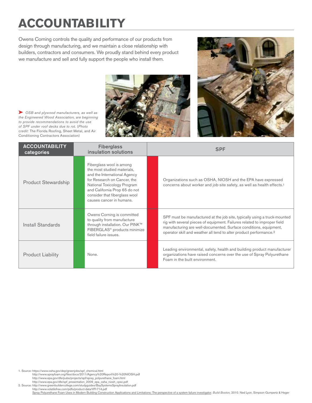# **ACCOUNTABILITY**

Owens Corning controls the quality and performance of our products from design through manufacturing, and we maintain a close relationship with builders, contractors and consumers. We proudly stand behind every product we manufacture and sell and fully support the people who install them.

 *OSB and plywood manufacturers, as well as the Engineered Wood Association, are beginning to provide recommendations to avoid the use of SPF under roof decks due to rot.* (*Photo credit:* The Florida Roofing, Sheet Metal, and Air Conditioning Contractors Association)



| <b>ACCOUNTABILITY</b><br>categories | <b>Fiberglass</b><br>insulation solutions                                                                                                                                                                                                           | <b>SPF</b>                                                                                                                                                                                                                                                                                                   |  |
|-------------------------------------|-----------------------------------------------------------------------------------------------------------------------------------------------------------------------------------------------------------------------------------------------------|--------------------------------------------------------------------------------------------------------------------------------------------------------------------------------------------------------------------------------------------------------------------------------------------------------------|--|
| <b>Product Stewardship</b>          | Fiberglass wool is among<br>the most studied materials,<br>and the International Agency<br>for Research on Cancer, the<br>National Toxicology Program<br>and California Prop 65 do not<br>consider that fiberglass wool<br>causes cancer in humans. | Organizations such as OSHA, NIOSH and the EPA have expressed<br>concerns about worker and job-site safety, as well as health effects. <sup>1</sup>                                                                                                                                                           |  |
| Install Standards                   | Owens Corning is committed<br>to quality from manufacture<br>through installation. Our PINK™<br>FIBERGLAS <sup>®</sup> products minimize<br>field failure issues.                                                                                   | SPF must be manufactured at the job site, typically using a truck-mounted<br>rig with several pieces of equipment. Failures related to improper field<br>manufacturing are well-documented. Surface conditions, equipment,<br>operator skill and weather all tend to alter product performance. <sup>2</sup> |  |
| <b>Product Liability</b>            | None.                                                                                                                                                                                                                                               | Leading environmental, safety, health and building product manufacturer<br>organizations have raised concerns over the use of Spray Polyurethane<br>Foam in the built environment.                                                                                                                           |  |

1. Source: https://www.osha.gov/dep/greenjobs/spf\_chemical.html

- http://www.sprayfoam.org/files/docs/2011/Agency%20Report%20-%20NIOSH.pdf
- http://www.epa.gov/dfe/pubs/projects/spf/spray\_polyurethane\_foam.html http://www.epa.gov/dfe/spf\_presentation\_2009\_epa\_osha\_niosh\_cpsc.pdf
- 

2. Source: http://www.greenbuildercollege.com/studyguides/BaySystemsSprayInsulation.pdf http://www.volatilefree.com/pdfs/product-data/VFI-714.pdf

Spray Polyurethane Foam Uses in Modern Building Construction Applications and Limitations: The perspective of a system failure investigator. *Build Boston,* 2010. Ned Lyon, Simpson Gumpertz & Heger